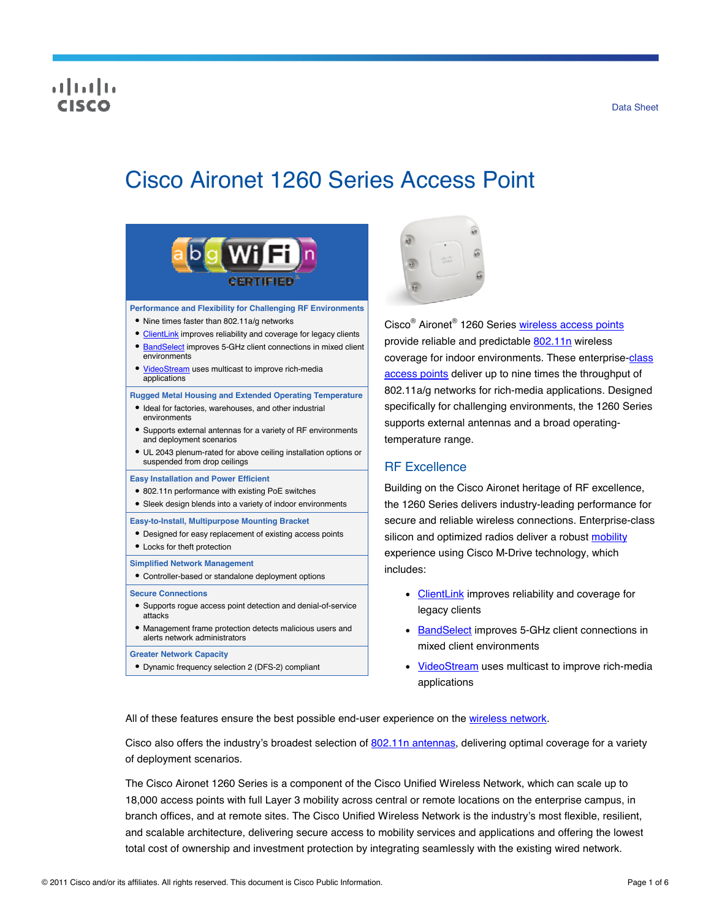# altalia

# Cisco Aironet 1260 Series Access Point



#### **Performance and Flexibility for Challenging RF Environments**

- Nine times faster than 802.11a/g networks
- [ClientLink](http://www.cisco.com/en/US/prod/collateral/wireless/ps5678/ps10092/white_paper_c11-516389_ps6973_Products_White_Paper.html) improves reliability and coverage for legacy clients
- **BandSelect** improves 5-GHz client connections in mixed client environments
- [VideoStream](http://www.cisco.com/en/US/prod/collateral/wireless/ps6302/ps8322/ps10315/ps10325/white_paper_c11-577721.html) uses multicast to improve rich-media applications

#### **Rugged Metal Housing and Extended Operating Temperature**

- $\bullet$  Ideal for factories, warehouses, and other industrial environments
- Supports external antennas for a variety of RF environments and deployment scenarios
- UL 2043 plenum-rated for above ceiling installation options or suspended from drop ceilings

#### **Easy Installation and Power Efficient**

- 802.11n performance with existing PoE switches
- Sleek design blends into a variety of indoor environments

#### **Easy-to-Install, Multipurpose Mounting Bracket**

- Designed for easy replacement of existing access points
- Locks for theft protection

#### **Simplified Network Management**

Controller-based or standalone deployment options

#### **Secure Connections**

- Supports rogue access point detection and denial-of-service attacks
- Management frame protection detects malicious users and alerts network administrators

**Greater Network Capacity** 

Dynamic frequency selection 2 (DFS-2) compliant



Cisco<sup>®</sup> Aironet<sup>®</sup> 1260 Series <u>wireless access points</u> provide reliable and predictable [802.11n](http://www.cisco.com/en/US/netsol/ns767/networking_solutions_package.html) wireless coverage for indoor environments. These enterprise-[class](http://www.cisco.com/en/US/products/ps5678/Products_Sub_Category_Home.html) [access points](http://www.cisco.com/en/US/products/ps5678/Products_Sub_Category_Home.html) deliver up to nine times the throughput of 802.11a/g networks for rich-media applications. Designed specifically for challenging environments, the 1260 Series supports external antennas and a broad operatingtemperature range.

# RF Excellence

Building on the Cisco Aironet heritage of RF excellence, the 1260 Series delivers industry-leading performance for secure and reliable wireless connections. Enterprise-class silicon and optimized radios deliver a robust [mobility](http://www.cisco.com/en/US/netsol/ns175/networking_solutions_solution_segment_home.html) experience using Cisco M-Drive technology, which includes:

- [ClientLink](http://www.cisco.com/en/US/prod/collateral/wireless/ps5678/ps10092/white_paper_c11-516389_ps6973_Products_White_Paper.html) improves reliability and coverage for legacy clients
- [BandSelect](http://tools.cisco.com/search/display?url=http%3A%2F%2Fwww.cisco.com%2Fen%2FUS%2Fsolutions%2Fcollateral%2Fns340%2Fns394%2Fns348%2Fns767%2Fratification_checklist_brochure_c11-557441.pdf&pos=3&strqueryid=&websessionid=5BOoKz2Ehg3v5ZxCTF_lc55) improves 5-GHz client connections in mixed client environments
- [VideoStream](http://www.cisco.com/en/US/prod/collateral/wireless/ps6302/ps8322/ps10315/ps10325/white_paper_c11-577721.html) uses multicast to improve rich-media applications

All of these features ensure the best possible end-user experience on the [wireless network](http://www.cisco.com/en/US/netsol/ns340/ns394/ns348/ns337/networking_solutions_package.html).

Cisco also offers the industry's broadest selection of [802.11n antennas](http://www.cisco.com/en/US/prod/collateral/wireless/ps7183/ps469/at_a_glance_c45-513837.pdf), delivering optimal coverage for a variety of deployment scenarios.

The Cisco Aironet 1260 Series is a component of the Cisco Unified Wireless Network, which can scale up to 18,000 access points with full Layer 3 mobility across central or remote locations on the enterprise campus, in branch offices, and at remote sites. The Cisco Unified Wireless Network is the industry's most flexible, resilient, and scalable architecture, delivering secure access to mobility services and applications and offering the lowest total cost of ownership and investment protection by integrating seamlessly with the existing wired network.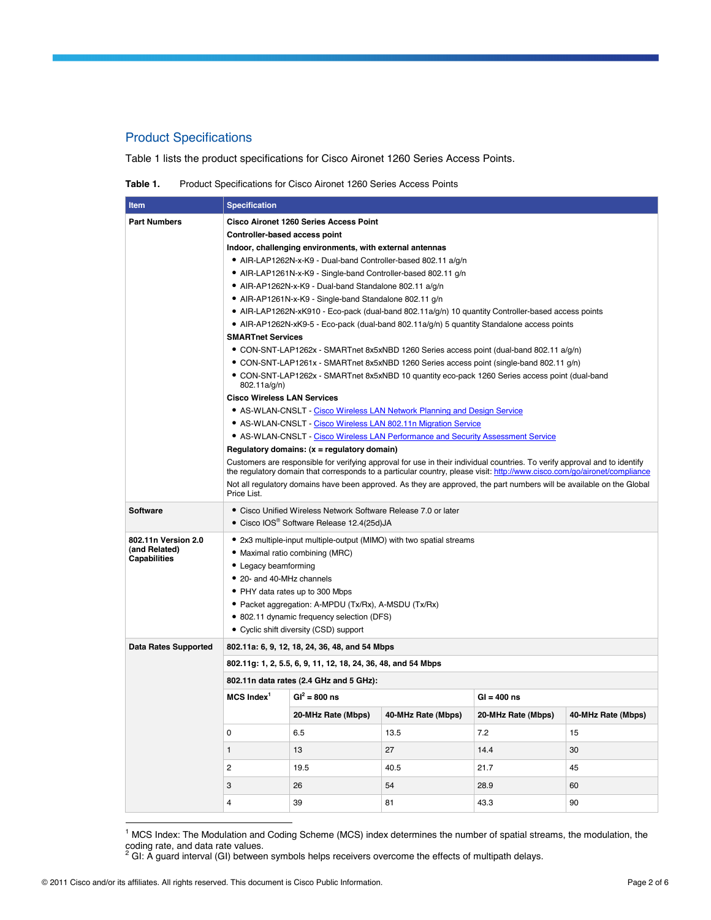# Product Specifications

Table 1 lists the product specifications for Cisco Aironet 1260 Series Access Points.

**Table 1.** Product Specifications for Cisco Aironet 1260 Series Access Points

| Item                                                                          | <b>Specification</b>                                                                                                                                                                                                                                   |                                                          |      |                    |                    |  |
|-------------------------------------------------------------------------------|--------------------------------------------------------------------------------------------------------------------------------------------------------------------------------------------------------------------------------------------------------|----------------------------------------------------------|------|--------------------|--------------------|--|
| <b>Part Numbers</b>                                                           | <b>Cisco Aironet 1260 Series Access Point</b>                                                                                                                                                                                                          |                                                          |      |                    |                    |  |
|                                                                               | Controller-based access point                                                                                                                                                                                                                          |                                                          |      |                    |                    |  |
|                                                                               |                                                                                                                                                                                                                                                        | Indoor, challenging environments, with external antennas |      |                    |                    |  |
|                                                                               | • AIR-LAP1262N-x-K9 - Dual-band Controller-based 802.11 a/g/n<br>• AIR-LAP1261N-x-K9 - Single-band Controller-based 802.11 g/n                                                                                                                         |                                                          |      |                    |                    |  |
|                                                                               |                                                                                                                                                                                                                                                        |                                                          |      |                    |                    |  |
|                                                                               | • AIR-AP1262N-x-K9 - Dual-band Standalone 802.11 a/g/n                                                                                                                                                                                                 |                                                          |      |                    |                    |  |
|                                                                               | • AIR-AP1261N-x-K9 - Single-band Standalone 802.11 g/n                                                                                                                                                                                                 |                                                          |      |                    |                    |  |
|                                                                               | • AIR-LAP1262N-xK910 - Eco-pack (dual-band 802.11a/g/n) 10 quantity Controller-based access points                                                                                                                                                     |                                                          |      |                    |                    |  |
|                                                                               | • AIR-AP1262N-xK9-5 - Eco-pack (dual-band 802.11a/g/n) 5 quantity Standalone access points<br><b>SMARTnet Services</b>                                                                                                                                 |                                                          |      |                    |                    |  |
|                                                                               | • CON-SNT-LAP1262x - SMARTnet 8x5xNBD 1260 Series access point (dual-band 802.11 a/g/n)                                                                                                                                                                |                                                          |      |                    |                    |  |
|                                                                               | • CON-SNT-LAP1261x - SMARTnet 8x5xNBD 1260 Series access point (single-band 802.11 g/n)                                                                                                                                                                |                                                          |      |                    |                    |  |
|                                                                               | • CON-SNT-LAP1262x - SMARTnet 8x5xNBD 10 quantity eco-pack 1260 Series access point (dual-band<br>802.11a/g/n)                                                                                                                                         |                                                          |      |                    |                    |  |
|                                                                               | <b>Cisco Wireless LAN Services</b>                                                                                                                                                                                                                     |                                                          |      |                    |                    |  |
|                                                                               | • AS-WLAN-CNSLT - Cisco Wireless LAN Network Planning and Design Service                                                                                                                                                                               |                                                          |      |                    |                    |  |
|                                                                               | • AS-WLAN-CNSLT - Cisco Wireless LAN 802.11n Migration Service<br>• AS-WLAN-CNSLT - Cisco Wireless LAN Performance and Security Assessment Service                                                                                                     |                                                          |      |                    |                    |  |
|                                                                               |                                                                                                                                                                                                                                                        |                                                          |      |                    |                    |  |
|                                                                               |                                                                                                                                                                                                                                                        | Regulatory domains: $(x =$ regulatory domain)            |      |                    |                    |  |
|                                                                               | Customers are responsible for verifying approval for use in their individual countries. To verify approval and to identify<br>the regulatory domain that corresponds to a particular country, please visit: http://www.cisco.com/go/aironet/compliance |                                                          |      |                    |                    |  |
|                                                                               | Not all regulatory domains have been approved. As they are approved, the part numbers will be available on the Global<br>Price List.                                                                                                                   |                                                          |      |                    |                    |  |
| <b>Software</b>                                                               | • Cisco Unified Wireless Network Software Release 7.0 or later<br>• Cisco IOS <sup>®</sup> Software Release 12.4(25d)JA                                                                                                                                |                                                          |      |                    |                    |  |
| 802.11n Version 2.0                                                           | • 2x3 multiple-input multiple-output (MIMO) with two spatial streams                                                                                                                                                                                   |                                                          |      |                    |                    |  |
| (and Related)<br>Capabilities                                                 | • Maximal ratio combining (MRC)                                                                                                                                                                                                                        |                                                          |      |                    |                    |  |
|                                                                               | • Legacy beamforming                                                                                                                                                                                                                                   |                                                          |      |                    |                    |  |
|                                                                               | • 20- and 40-MHz channels                                                                                                                                                                                                                              |                                                          |      |                    |                    |  |
|                                                                               | • PHY data rates up to 300 Mbps                                                                                                                                                                                                                        |                                                          |      |                    |                    |  |
|                                                                               | • Packet aggregation: A-MPDU (Tx/Rx), A-MSDU (Tx/Rx)<br>• 802.11 dynamic frequency selection (DFS)                                                                                                                                                     |                                                          |      |                    |                    |  |
|                                                                               | • Cyclic shift diversity (CSD) support                                                                                                                                                                                                                 |                                                          |      |                    |                    |  |
| <b>Data Rates Supported</b><br>802.11a: 6, 9, 12, 18, 24, 36, 48, and 54 Mbps |                                                                                                                                                                                                                                                        |                                                          |      |                    |                    |  |
|                                                                               | 802.11g: 1, 2, 5.5, 6, 9, 11, 12, 18, 24, 36, 48, and 54 Mbps                                                                                                                                                                                          |                                                          |      |                    |                    |  |
|                                                                               | 802.11n data rates (2.4 GHz and 5 GHz):                                                                                                                                                                                                                |                                                          |      |                    |                    |  |
|                                                                               | $MCS$ Index $^1$                                                                                                                                                                                                                                       | $GI^2 = 800$ ns                                          |      | $GI = 400$ ns      |                    |  |
|                                                                               |                                                                                                                                                                                                                                                        | 20-MHz Rate (Mbps) 40-MHz Rate (Mbps)                    |      | 20-MHz Rate (Mbps) | 40-MHz Rate (Mbps) |  |
|                                                                               | 0                                                                                                                                                                                                                                                      | 6.5                                                      | 13.5 | 7.2                | 15                 |  |
|                                                                               | $\mathbf{1}$                                                                                                                                                                                                                                           | 13                                                       | 27   | 14.4               | 30                 |  |
|                                                                               | 2                                                                                                                                                                                                                                                      | 19.5                                                     | 40.5 | 21.7               | 45                 |  |
|                                                                               | 3                                                                                                                                                                                                                                                      | 26                                                       | 54   | 28.9               | 60                 |  |
|                                                                               | 4                                                                                                                                                                                                                                                      | 39                                                       | 81   | 43.3               | 90                 |  |

1 MCS Index: The Modulation and Coding Scheme (MCS) index determines the number of spatial streams, the modulation, the

coding rate, and data rate values.<br><sup>2</sup> GI: A guard interval (GI) between symbols helps receivers overcome the effects of multipath delays.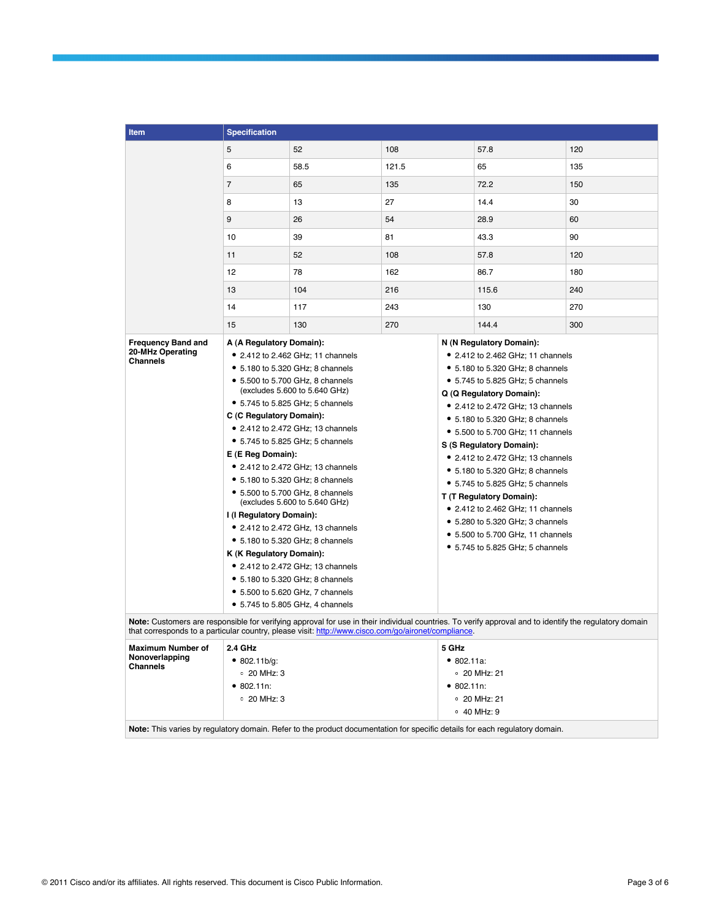| <b>Item</b>                                            | <b>Specification</b>                                                                                                                                                                                                                                                                                                                                                                                                                                                                                                                                                                                                                                                                                                                                                 |          |                                                                                                                                                                                                                                                                                                                                                                                                                                                                                                                                                                                                                                                                                                                                                                  |                                                                                                                                                                                                                                       |       |     |
|--------------------------------------------------------|----------------------------------------------------------------------------------------------------------------------------------------------------------------------------------------------------------------------------------------------------------------------------------------------------------------------------------------------------------------------------------------------------------------------------------------------------------------------------------------------------------------------------------------------------------------------------------------------------------------------------------------------------------------------------------------------------------------------------------------------------------------------|----------|------------------------------------------------------------------------------------------------------------------------------------------------------------------------------------------------------------------------------------------------------------------------------------------------------------------------------------------------------------------------------------------------------------------------------------------------------------------------------------------------------------------------------------------------------------------------------------------------------------------------------------------------------------------------------------------------------------------------------------------------------------------|---------------------------------------------------------------------------------------------------------------------------------------------------------------------------------------------------------------------------------------|-------|-----|
|                                                        | 5                                                                                                                                                                                                                                                                                                                                                                                                                                                                                                                                                                                                                                                                                                                                                                    | 52       | 108                                                                                                                                                                                                                                                                                                                                                                                                                                                                                                                                                                                                                                                                                                                                                              |                                                                                                                                                                                                                                       | 57.8  | 120 |
|                                                        | 6                                                                                                                                                                                                                                                                                                                                                                                                                                                                                                                                                                                                                                                                                                                                                                    | 58.5     | 121.5                                                                                                                                                                                                                                                                                                                                                                                                                                                                                                                                                                                                                                                                                                                                                            |                                                                                                                                                                                                                                       | 65    | 135 |
|                                                        | $\overline{7}$                                                                                                                                                                                                                                                                                                                                                                                                                                                                                                                                                                                                                                                                                                                                                       | 65       | 135                                                                                                                                                                                                                                                                                                                                                                                                                                                                                                                                                                                                                                                                                                                                                              |                                                                                                                                                                                                                                       | 72.2  | 150 |
|                                                        | 8                                                                                                                                                                                                                                                                                                                                                                                                                                                                                                                                                                                                                                                                                                                                                                    | 13       | 27                                                                                                                                                                                                                                                                                                                                                                                                                                                                                                                                                                                                                                                                                                                                                               |                                                                                                                                                                                                                                       | 14.4  | 30  |
|                                                        | 9                                                                                                                                                                                                                                                                                                                                                                                                                                                                                                                                                                                                                                                                                                                                                                    | 26<br>54 |                                                                                                                                                                                                                                                                                                                                                                                                                                                                                                                                                                                                                                                                                                                                                                  | 28.9                                                                                                                                                                                                                                  | 60    |     |
|                                                        | 10                                                                                                                                                                                                                                                                                                                                                                                                                                                                                                                                                                                                                                                                                                                                                                   | 39       | 81                                                                                                                                                                                                                                                                                                                                                                                                                                                                                                                                                                                                                                                                                                                                                               |                                                                                                                                                                                                                                       | 43.3  | 90  |
|                                                        | 11                                                                                                                                                                                                                                                                                                                                                                                                                                                                                                                                                                                                                                                                                                                                                                   | 52       | 108                                                                                                                                                                                                                                                                                                                                                                                                                                                                                                                                                                                                                                                                                                                                                              |                                                                                                                                                                                                                                       | 57.8  | 120 |
|                                                        | 12                                                                                                                                                                                                                                                                                                                                                                                                                                                                                                                                                                                                                                                                                                                                                                   | 78       | 162                                                                                                                                                                                                                                                                                                                                                                                                                                                                                                                                                                                                                                                                                                                                                              |                                                                                                                                                                                                                                       | 86.7  | 180 |
|                                                        | 13                                                                                                                                                                                                                                                                                                                                                                                                                                                                                                                                                                                                                                                                                                                                                                   | 104      | 216                                                                                                                                                                                                                                                                                                                                                                                                                                                                                                                                                                                                                                                                                                                                                              |                                                                                                                                                                                                                                       | 115.6 | 240 |
|                                                        | 14                                                                                                                                                                                                                                                                                                                                                                                                                                                                                                                                                                                                                                                                                                                                                                   | 117      | 243                                                                                                                                                                                                                                                                                                                                                                                                                                                                                                                                                                                                                                                                                                                                                              |                                                                                                                                                                                                                                       | 130   | 270 |
|                                                        | 15                                                                                                                                                                                                                                                                                                                                                                                                                                                                                                                                                                                                                                                                                                                                                                   | 130      | 270                                                                                                                                                                                                                                                                                                                                                                                                                                                                                                                                                                                                                                                                                                                                                              |                                                                                                                                                                                                                                       | 144.4 | 300 |
| <b>Frequency Band and</b>                              |                                                                                                                                                                                                                                                                                                                                                                                                                                                                                                                                                                                                                                                                                                                                                                      |          |                                                                                                                                                                                                                                                                                                                                                                                                                                                                                                                                                                                                                                                                                                                                                                  |                                                                                                                                                                                                                                       |       |     |
| 20-MHz Operating<br><b>Channels</b>                    | A (A Regulatory Domain):<br>• 2.412 to 2.462 GHz: 11 channels<br>• 5.180 to 5.320 GHz; 8 channels<br>• 5.500 to 5.700 GHz, 8 channels<br>(excludes 5.600 to 5.640 GHz)<br>• 5.745 to 5.825 GHz; 5 channels<br>C (C Regulatory Domain):<br>• 2.412 to 2.472 GHz; 13 channels<br>• 5.745 to 5.825 GHz; 5 channels<br>E (E Reg Domain):<br>• 2.412 to 2.472 GHz; 13 channels<br>• 5.180 to 5.320 GHz; 8 channels<br>• 5.500 to 5.700 GHz, 8 channels<br>(excludes 5.600 to 5.640 GHz)<br>I (I Regulatory Domain):<br>• 2.412 to 2.472 GHz, 13 channels<br>• 5.180 to 5.320 GHz; 8 channels<br>K (K Regulatory Domain):<br>• 2.412 to 2.472 GHz; 13 channels<br>• 5.180 to 5.320 GHz; 8 channels<br>• 5.500 to 5.620 GHz, 7 channels<br>• 5.745 to 5.805 GHz, 4 channels |          | N (N Regulatory Domain):<br>• 2.412 to 2.462 GHz; 11 channels<br>• 5.180 to 5.320 GHz; 8 channels<br>• 5.745 to 5.825 GHz; 5 channels<br>Q (Q Regulatory Domain):<br>• 2.412 to 2.472 GHz; 13 channels<br>• 5.180 to 5.320 GHz; 8 channels<br>• 5.500 to 5.700 GHz; 11 channels<br>S (S Regulatory Domain):<br>• 2.412 to 2.472 GHz; 13 channels<br>• 5.180 to 5.320 GHz; 8 channels<br>• 5.745 to 5.825 GHz; 5 channels<br>T (T Regulatory Domain):<br>• 2.412 to 2.462 GHz; 11 channels<br>• 5.280 to 5.320 GHz; 3 channels<br>• 5.500 to 5.700 GHz, 11 channels<br>• 5.745 to 5.825 GHz; 5 channels<br>Note: Customers are responsible for verifying approval for use in their individual countries. To verify approval and to identify the regulatory domain |                                                                                                                                                                                                                                       |       |     |
| <b>Maximum Number of</b><br>Nonoverlapping<br>Channels | that corresponds to a particular country, please visit: http://www.cisco.com/go/aironet/compliance.<br>2.4 GHz<br>• 802.11b/q:<br>$\circ$ 20 MHz: 3<br>• 802.11n:<br>$\circ$ 20 MHz: 3                                                                                                                                                                                                                                                                                                                                                                                                                                                                                                                                                                               |          |                                                                                                                                                                                                                                                                                                                                                                                                                                                                                                                                                                                                                                                                                                                                                                  | 5 GHz<br>• 802.11a.<br>$\degree$ 20 MHz: 21<br>• 802.11n:<br>$\degree$ 20 MHz: 21<br>$\circ$ 40 MHz: 9<br>Note: This varies by regulatory domain. Refer to the product documentation for specific details for each regulatory domain. |       |     |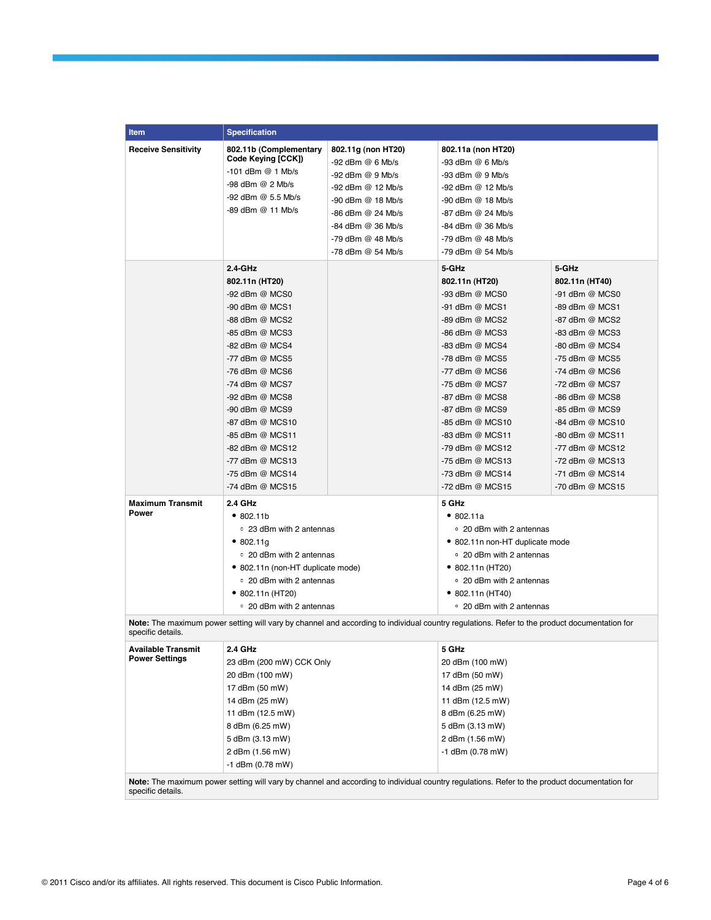| <b>Item</b>                                                                                                                                                       | <b>Specification</b>                                                      |                      |                                                                                                                                              |                 |  |  |
|-------------------------------------------------------------------------------------------------------------------------------------------------------------------|---------------------------------------------------------------------------|----------------------|----------------------------------------------------------------------------------------------------------------------------------------------|-----------------|--|--|
|                                                                                                                                                                   |                                                                           |                      |                                                                                                                                              |                 |  |  |
| <b>Receive Sensitivity</b>                                                                                                                                        | 802.11b (Complementary<br>Code Keying [CCK])                              | 802.11g (non HT20)   | 802.11a (non HT20)                                                                                                                           |                 |  |  |
|                                                                                                                                                                   | $-101$ dBm $@$ 1 Mb/s                                                     | $-92$ dBm $@$ 6 Mb/s | $-93$ dBm $@$ 6 Mb/s                                                                                                                         |                 |  |  |
|                                                                                                                                                                   | $-98$ dBm $@$ 2 Mb/s                                                      | $-92$ dBm $@9$ Mb/s  | -93 dBm @ 9 Mb/s                                                                                                                             |                 |  |  |
|                                                                                                                                                                   | -92 dBm @ 5.5 Mb/s                                                        | -92 dBm @ 12 Mb/s    | -92 dBm @ 12 Mb/s                                                                                                                            |                 |  |  |
|                                                                                                                                                                   | -89 dBm @ 11 Mb/s                                                         | -90 dBm @ 18 Mb/s    | -90 dBm @ 18 Mb/s                                                                                                                            |                 |  |  |
|                                                                                                                                                                   |                                                                           | -86 dBm @ 24 Mb/s    | -87 dBm @ 24 Mb/s                                                                                                                            |                 |  |  |
|                                                                                                                                                                   |                                                                           | -84 dBm @ 36 Mb/s    | -84 dBm @ 36 Mb/s                                                                                                                            |                 |  |  |
|                                                                                                                                                                   |                                                                           | -79 dBm @ 48 Mb/s    | -79 dBm @ 48 Mb/s                                                                                                                            |                 |  |  |
|                                                                                                                                                                   |                                                                           | -78 dBm @ 54 Mb/s    | -79 dBm @ 54 Mb/s                                                                                                                            |                 |  |  |
|                                                                                                                                                                   | $2.4-GHz$                                                                 |                      | 5-GHz                                                                                                                                        | 5-GHz           |  |  |
|                                                                                                                                                                   | 802.11n (HT20)                                                            |                      | 802.11n (HT20)                                                                                                                               | 802.11n (HT40)  |  |  |
|                                                                                                                                                                   | -92 dBm @ MCS0                                                            |                      | -93 dBm @ MCS0                                                                                                                               | -91 dBm @ MCS0  |  |  |
|                                                                                                                                                                   | -90 dBm @ MCS1                                                            |                      | -91 dBm @ MCS1                                                                                                                               | -89 dBm @ MCS1  |  |  |
|                                                                                                                                                                   | -88 dBm @ MCS2                                                            |                      | -89 dBm @ MCS2                                                                                                                               | -87 dBm @ MCS2  |  |  |
|                                                                                                                                                                   | -85 dBm @ MCS3                                                            |                      | -86 dBm @ MCS3                                                                                                                               | -83 dBm @ MCS3  |  |  |
|                                                                                                                                                                   | -82 dBm @ MCS4                                                            |                      | -83 dBm @ MCS4                                                                                                                               | -80 dBm @ MCS4  |  |  |
|                                                                                                                                                                   | -77 dBm @ MCS5                                                            |                      | -78 dBm @ MCS5                                                                                                                               | -75 dBm @ MCS5  |  |  |
|                                                                                                                                                                   | $-76$ dBm @ MCS6                                                          |                      | -77 dBm @ MCS6                                                                                                                               | -74 dBm @ MCS6  |  |  |
|                                                                                                                                                                   | -74 dBm @ MCS7                                                            |                      | -75 dBm @ MCS7                                                                                                                               | -72 dBm @ MCS7  |  |  |
|                                                                                                                                                                   | -92 dBm @ MCS8                                                            |                      | -87 dBm @ MCS8                                                                                                                               | -86 dBm @ MCS8  |  |  |
|                                                                                                                                                                   | -90 dBm @ MCS9                                                            |                      | -87 dBm @ MCS9                                                                                                                               | -85 dBm @ MCS9  |  |  |
|                                                                                                                                                                   | -87 dBm @ MCS10                                                           |                      | -85 dBm @ MCS10                                                                                                                              | -84 dBm @ MCS10 |  |  |
|                                                                                                                                                                   | -85 dBm @ MCS11                                                           |                      | -83 dBm @ MCS11                                                                                                                              | -80 dBm @ MCS11 |  |  |
|                                                                                                                                                                   | -82 dBm @ MCS12                                                           |                      | -79 dBm @ MCS12                                                                                                                              | -77 dBm @ MCS12 |  |  |
|                                                                                                                                                                   | -77 dBm @ MCS13                                                           |                      | -75 dBm @ MCS13                                                                                                                              | -72 dBm @ MCS13 |  |  |
|                                                                                                                                                                   | -75 dBm @ MCS14                                                           |                      | -73 dBm @ MCS14                                                                                                                              | -71 dBm @ MCS14 |  |  |
|                                                                                                                                                                   | -74 dBm @ MCS15                                                           |                      | -72 dBm @ MCS15                                                                                                                              | -70 dBm @ MCS15 |  |  |
| <b>Maximum Transmit</b>                                                                                                                                           | <b>2.4 GHz</b>                                                            |                      | 5 GHz                                                                                                                                        |                 |  |  |
| Power                                                                                                                                                             | •802.11b                                                                  |                      | •802.11a                                                                                                                                     |                 |  |  |
|                                                                                                                                                                   | ○ 23 dBm with 2 antennas                                                  |                      | • 20 dBm with 2 antennas                                                                                                                     |                 |  |  |
|                                                                                                                                                                   | •802.11q<br>○ 20 dBm with 2 antennas<br>• 802.11n (non-HT duplicate mode) |                      | • 802.11n non-HT duplicate mode                                                                                                              |                 |  |  |
|                                                                                                                                                                   |                                                                           |                      | • 20 dBm with 2 antennas                                                                                                                     |                 |  |  |
|                                                                                                                                                                   |                                                                           |                      | $\bullet$ 802.11n (HT20)                                                                                                                     |                 |  |  |
|                                                                                                                                                                   | ○ 20 dBm with 2 antennas                                                  |                      | ○ 20 dBm with 2 antennas                                                                                                                     |                 |  |  |
|                                                                                                                                                                   | ● 802.11n (HT20)                                                          |                      | $\bullet$ 802.11n (HT40)                                                                                                                     |                 |  |  |
|                                                                                                                                                                   | ○ 20 dBm with 2 antennas                                                  |                      | • 20 dBm with 2 antennas                                                                                                                     |                 |  |  |
| Note: The maximum power setting will vary by channel and according to individual country regulations. Refer to the product documentation for<br>specific details. |                                                                           |                      |                                                                                                                                              |                 |  |  |
| <b>Available Transmit</b>                                                                                                                                         | 2.4 GHz                                                                   |                      | 5 GHz                                                                                                                                        |                 |  |  |
| <b>Power Settings</b>                                                                                                                                             | 23 dBm (200 mW) CCK Only                                                  |                      | 20 dBm (100 mW)                                                                                                                              |                 |  |  |
|                                                                                                                                                                   |                                                                           |                      | 17 dBm (50 mW)                                                                                                                               |                 |  |  |
|                                                                                                                                                                   | 20 dBm (100 mW)                                                           |                      |                                                                                                                                              |                 |  |  |
|                                                                                                                                                                   | 17 dBm (50 mW)                                                            |                      | 14 dBm (25 mW)                                                                                                                               |                 |  |  |
|                                                                                                                                                                   | 14 dBm (25 mW)<br>11 dBm (12.5 mW)                                        |                      | 11 dBm (12.5 mW)<br>8 dBm (6.25 mW)                                                                                                          |                 |  |  |
|                                                                                                                                                                   |                                                                           |                      |                                                                                                                                              |                 |  |  |
|                                                                                                                                                                   |                                                                           | 8 dBm (6.25 mW)      |                                                                                                                                              | 5 dBm (3.13 mW) |  |  |
|                                                                                                                                                                   | 5 dBm (3.13 mW)                                                           |                      | 2 dBm (1.56 mW)                                                                                                                              |                 |  |  |
|                                                                                                                                                                   | 2 dBm (1.56 mW)                                                           |                      | $-1$ dBm (0.78 mW)                                                                                                                           |                 |  |  |
|                                                                                                                                                                   | $-1$ dBm (0.78 mW)                                                        |                      |                                                                                                                                              |                 |  |  |
|                                                                                                                                                                   |                                                                           |                      | Note: The maximum power setting will vary by channel and according to individual country regulations. Refer to the product documentation for |                 |  |  |

specific details.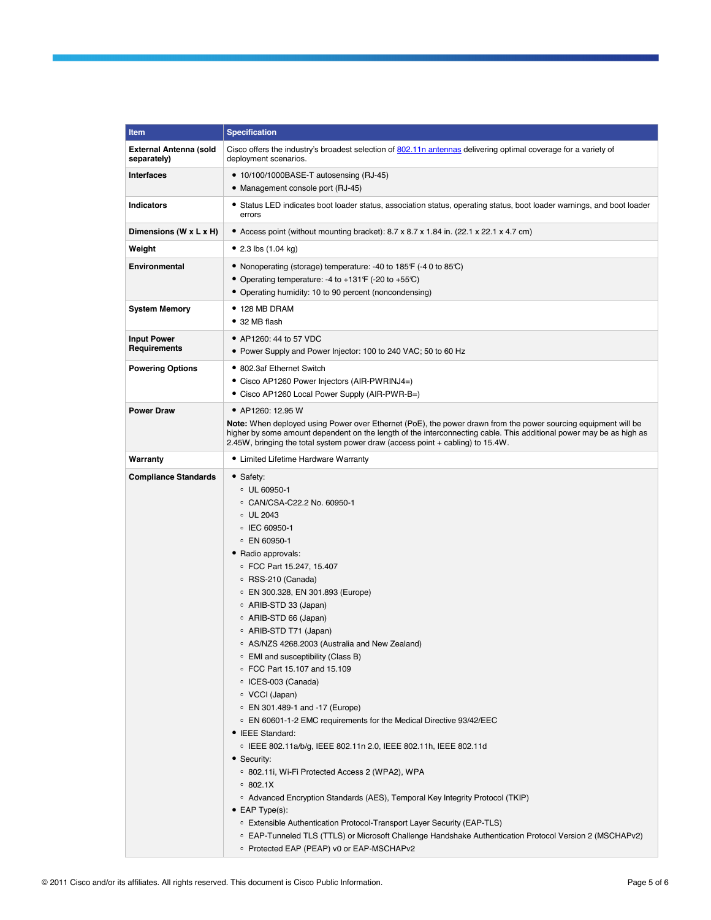| <b>Item</b>                                  | <b>Specification</b>                                                                                                                                                                                                                                                                                                                                                                                                                                                                                                                                                                                                                                                                                                                                                                                                                                                                                                                                                                                                                                                                                        |  |  |
|----------------------------------------------|-------------------------------------------------------------------------------------------------------------------------------------------------------------------------------------------------------------------------------------------------------------------------------------------------------------------------------------------------------------------------------------------------------------------------------------------------------------------------------------------------------------------------------------------------------------------------------------------------------------------------------------------------------------------------------------------------------------------------------------------------------------------------------------------------------------------------------------------------------------------------------------------------------------------------------------------------------------------------------------------------------------------------------------------------------------------------------------------------------------|--|--|
| <b>External Antenna (sold</b><br>separately) | Cisco offers the industry's broadest selection of 802.11n antennas delivering optimal coverage for a variety of<br>deployment scenarios.                                                                                                                                                                                                                                                                                                                                                                                                                                                                                                                                                                                                                                                                                                                                                                                                                                                                                                                                                                    |  |  |
| <b>Interfaces</b>                            | • 10/100/1000BASE-T autosensing (RJ-45)<br>• Management console port (RJ-45)                                                                                                                                                                                                                                                                                                                                                                                                                                                                                                                                                                                                                                                                                                                                                                                                                                                                                                                                                                                                                                |  |  |
| <b>Indicators</b>                            | • Status LED indicates boot loader status, association status, operating status, boot loader warnings, and boot loader<br>errors                                                                                                                                                                                                                                                                                                                                                                                                                                                                                                                                                                                                                                                                                                                                                                                                                                                                                                                                                                            |  |  |
| Dimensions (W x L x H)                       | • Access point (without mounting bracket): $8.7 \times 8.7 \times 1.84$ in. (22.1 $\times$ 22.1 $\times$ 4.7 cm)                                                                                                                                                                                                                                                                                                                                                                                                                                                                                                                                                                                                                                                                                                                                                                                                                                                                                                                                                                                            |  |  |
| Weight                                       | • 2.3 lbs $(1.04 \text{ kg})$                                                                                                                                                                                                                                                                                                                                                                                                                                                                                                                                                                                                                                                                                                                                                                                                                                                                                                                                                                                                                                                                               |  |  |
| <b>Environmental</b>                         | • Nonoperating (storage) temperature: -40 to 185°F (-40 to 85°C)<br>• Operating temperature: -4 to +131 $F$ (-20 to +55 $C$ )<br>• Operating humidity: 10 to 90 percent (noncondensing)                                                                                                                                                                                                                                                                                                                                                                                                                                                                                                                                                                                                                                                                                                                                                                                                                                                                                                                     |  |  |
| <b>System Memory</b>                         | $\bullet$ 128 MB DRAM<br>• 32 MB flash                                                                                                                                                                                                                                                                                                                                                                                                                                                                                                                                                                                                                                                                                                                                                                                                                                                                                                                                                                                                                                                                      |  |  |
| <b>Input Power</b><br><b>Requirements</b>    | • AP1260: 44 to 57 VDC<br>• Power Supply and Power Injector: 100 to 240 VAC; 50 to 60 Hz                                                                                                                                                                                                                                                                                                                                                                                                                                                                                                                                                                                                                                                                                                                                                                                                                                                                                                                                                                                                                    |  |  |
| <b>Powering Options</b>                      | • 802.3af Ethernet Switch<br>• Cisco AP1260 Power Injectors (AIR-PWRINJ4=)<br>• Cisco AP1260 Local Power Supply (AIR-PWR-B=)                                                                                                                                                                                                                                                                                                                                                                                                                                                                                                                                                                                                                                                                                                                                                                                                                                                                                                                                                                                |  |  |
| <b>Power Draw</b>                            | • AP1260: 12.95 W<br>Note: When deployed using Power over Ethernet (PoE), the power drawn from the power sourcing equipment will be<br>higher by some amount dependent on the length of the interconnecting cable. This additional power may be as high as<br>2.45W, bringing the total system power draw (access point + cabling) to 15.4W.                                                                                                                                                                                                                                                                                                                                                                                                                                                                                                                                                                                                                                                                                                                                                                |  |  |
| Warranty                                     | • Limited Lifetime Hardware Warranty                                                                                                                                                                                                                                                                                                                                                                                                                                                                                                                                                                                                                                                                                                                                                                                                                                                                                                                                                                                                                                                                        |  |  |
| <b>Compliance Standards</b>                  | • Safety:<br>$\circ$ UL 60950-1<br>○ CAN/CSA-C22.2 No. 60950-1<br>$\circ$ UL 2043<br>○ IEC 60950-1<br>○ EN 60950-1<br>• Radio approvals:<br>© FCC Part 15.247, 15.407<br>○ RSS-210 (Canada)<br>○ EN 300.328, EN 301.893 (Europe)<br>∘ ARIB-STD 33 (Japan)<br>○ ARIB-STD 66 (Japan)<br>∘ ARIB-STD T71 (Japan)<br>○ AS/NZS 4268.2003 (Australia and New Zealand)<br>○ EMI and susceptibility (Class B)<br>○ FCC Part 15.107 and 15.109<br>∘ ICES-003 (Canada)<br>∘ VCCI (Japan)<br>○ EN 301.489-1 and -17 (Europe)<br>○ EN 60601-1-2 EMC requirements for the Medical Directive 93/42/EEC<br>• IEEE Standard:<br>© IEEE 802.11a/b/g, IEEE 802.11n 2.0, IEEE 802.11h, IEEE 802.11d<br>• Security:<br>○ 802.11i, Wi-Fi Protected Access 2 (WPA2), WPA<br>0.802.1X<br>○ Advanced Encryption Standards (AES), Temporal Key Integrity Protocol (TKIP)<br>$\bullet$ EAP Type(s):<br>○ Extensible Authentication Protocol-Transport Layer Security (EAP-TLS)<br>○ EAP-Tunneled TLS (TTLS) or Microsoft Challenge Handshake Authentication Protocol Version 2 (MSCHAPv2)<br>○ Protected EAP (PEAP) v0 or EAP-MSCHAPv2 |  |  |